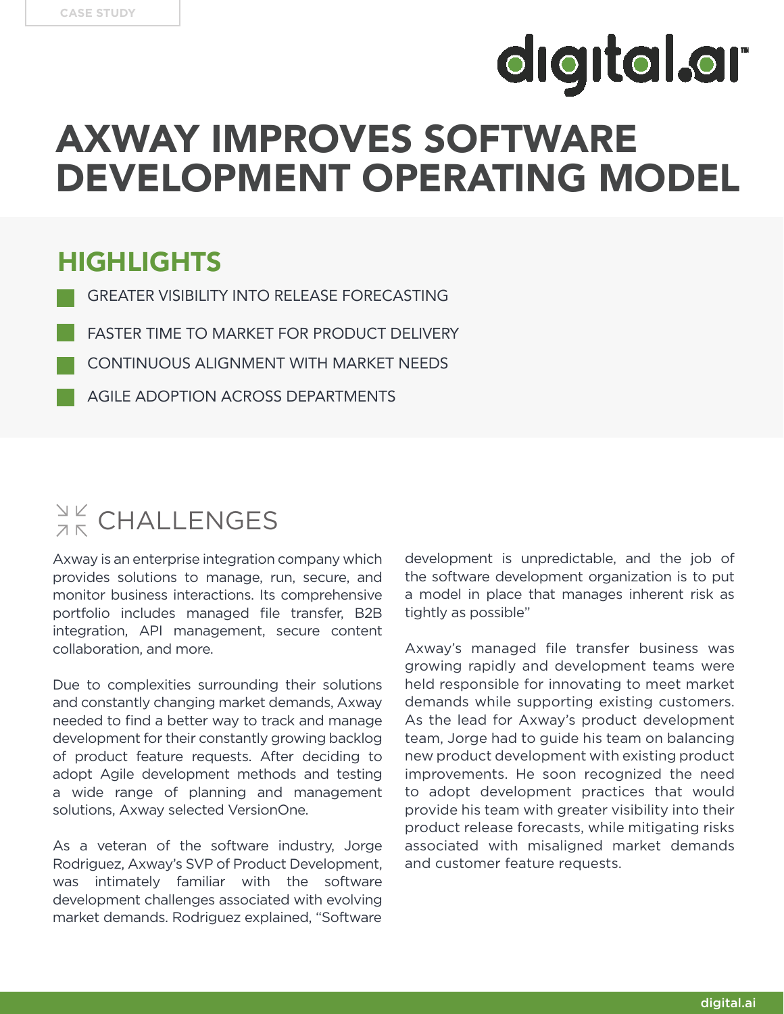# **digital.ar**

## AXWAY IMPROVES SOFTWARE DEVELOPMENT OPERATING MODEL

#### HIGHLIGHTS

- GREATER VISIBILITY INTO RELEASE FORECASTING
- FASTER TIME TO MARKET FOR PRODUCT DELIVERY
- CONTINUOUS ALIGNMENT WITH MARKET NEEDS
	- AGILE ADOPTION ACROSS DEPARTMENTS

### $\frac{N}{2K}$  CHALLENGES

Axway is an enterprise integration company which provides solutions to manage, run, secure, and monitor business interactions. Its comprehensive portfolio includes managed file transfer, B2B integration, API management, secure content collaboration, and more.

Due to complexities surrounding their solutions and constantly changing market demands, Axway needed to find a better way to track and manage development for their constantly growing backlog of product feature requests. After deciding to adopt Agile development methods and testing a wide range of planning and management solutions, Axway selected VersionOne.

As a veteran of the software industry, Jorge Rodriguez, Axway's SVP of Product Development, was intimately familiar with the software development challenges associated with evolving market demands. Rodriguez explained, "Software

development is unpredictable, and the job of the software development organization is to put a model in place that manages inherent risk as tightly as possible"

Axway's managed file transfer business was growing rapidly and development teams were held responsible for innovating to meet market demands while supporting existing customers. As the lead for Axway's product development team, Jorge had to guide his team on balancing new product development with existing product improvements. He soon recognized the need to adopt development practices that would provide his team with greater visibility into their product release forecasts, while mitigating risks associated with misaligned market demands and customer feature requests.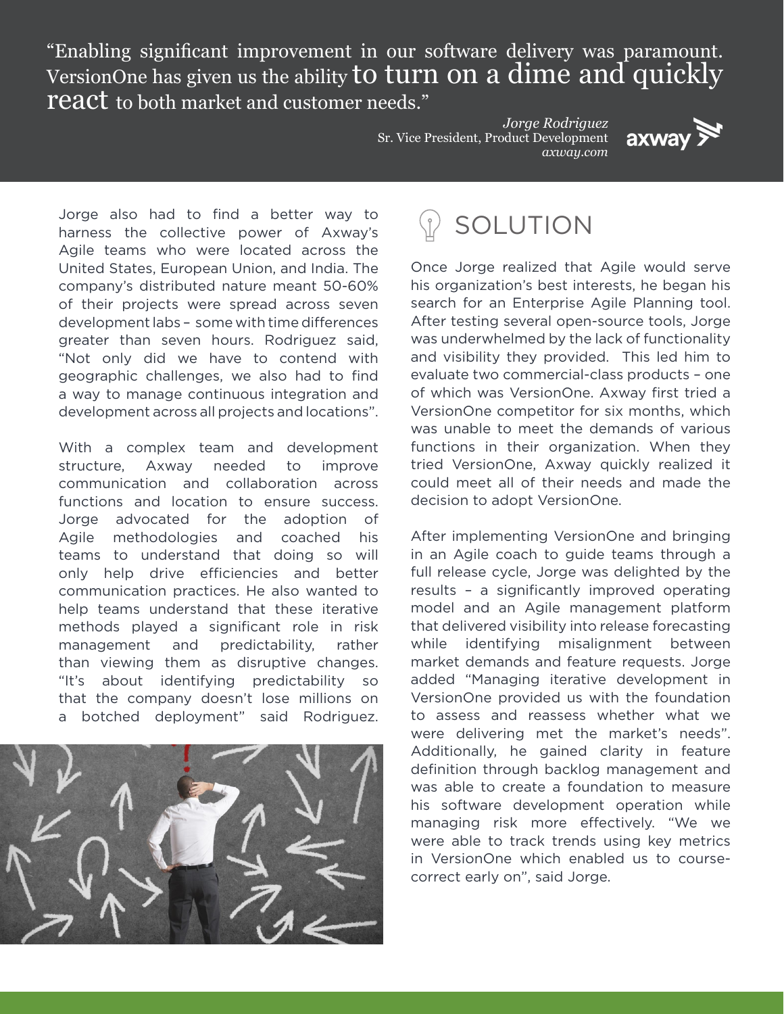"Enabling significant improvement in our software delivery was paramount. VersionOne has given us the ability to turn on a dime and quickly **react** to both market and customer needs."

> *Jorge Rodriguez* Sr. Vice President, Product Development *axway.com*



Jorge also had to find a better way to harness the collective power of Axway's Agile teams who were located across the United States, European Union, and India. The company's distributed nature meant 50-60% of their projects were spread across seven development labs – some with time differences greater than seven hours. Rodriguez said, "Not only did we have to contend with geographic challenges, we also had to find a way to manage continuous integration and development across all projects and locations".

With a complex team and development structure, Axway needed to improve communication and collaboration across functions and location to ensure success. Jorge advocated for the adoption of Agile methodologies and coached his teams to understand that doing so will only help drive efficiencies and better communication practices. He also wanted to help teams understand that these iterative methods played a significant role in risk management and predictability, rather than viewing them as disruptive changes. "It's about identifying predictability so that the company doesn't lose millions on a botched deployment" said Rodriguez.



#### SOLUTION

Once Jorge realized that Agile would serve his organization's best interests, he began his search for an Enterprise Agile Planning tool. After testing several open-source tools, Jorge was underwhelmed by the lack of functionality and visibility they provided. This led him to evaluate two commercial-class products – one of which was VersionOne. Axway first tried a VersionOne competitor for six months, which was unable to meet the demands of various functions in their organization. When they tried VersionOne, Axway quickly realized it could meet all of their needs and made the decision to adopt VersionOne.

After implementing VersionOne and bringing in an Agile coach to guide teams through a full release cycle, Jorge was delighted by the results – a significantly improved operating model and an Agile management platform that delivered visibility into release forecasting while identifying misalignment between market demands and feature requests. Jorge added "Managing iterative development in VersionOne provided us with the foundation to assess and reassess whether what we were delivering met the market's needs". Additionally, he gained clarity in feature definition through backlog management and was able to create a foundation to measure his software development operation while managing risk more effectively. "We we were able to track trends using key metrics in VersionOne which enabled us to coursecorrect early on", said Jorge.